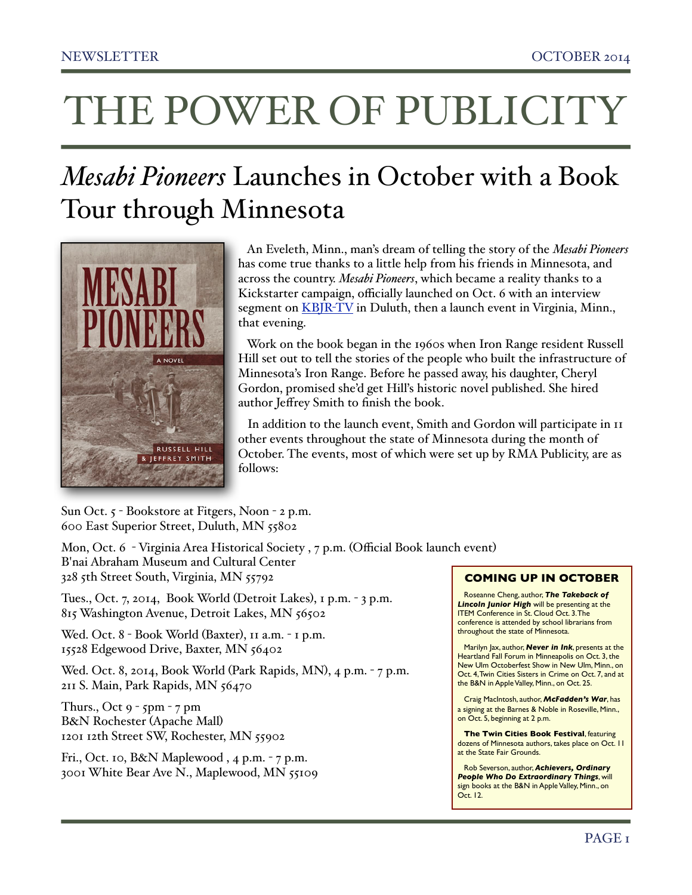# THE POWER OF PUBLICITY

## *Mesabi Pioneers* Launches in October with a Book Tour through Minnesota



 An Eveleth, Minn., man's dream of telling the story of the *Mesabi Pioneers* has come true thanks to a little help from his friends in Minnesota, and across the country. *Mesabi Pioneers*, which became a reality thanks to a Kickstarter campaign, officially launched on Oct. 6 with an interview segment on **KBJR-TV** in Duluth, then a launch event in Virginia, Minn., that evening.

 Work on the book began in the 1960s when Iron Range resident Russell Hill set out to tell the stories of the people who built the infrastructure of Minnesota's Iron Range. Before he passed away, his daughter, Cheryl Gordon, promised she'd get Hill's historic novel published. She hired author Jeffrey Smith to finish the book.

 In addition to the launch event, Smith and Gordon will participate in [11](http://www.rmapublicity.com/feature-articles/48-press-releases/526-mesabi-pioneers)  [other events](http://www.rmapublicity.com/feature-articles/48-press-releases/526-mesabi-pioneers) throughout the state of Minnesota during the month of October. The events, most of which were set up by RMA Publicity, are as follows:

Sun Oct. 5 - Bookstore at Fitgers, Noon - 2 p.m. 600 East Superior Street, Duluth, MN 55802

Mon, Oct. 6 - Virginia Area Historical Society , 7 p.m. (Official Book launch event) B'nai Abraham Museum and Cultural Center 328 5th Street South, Virginia, MN 55792

Tues., Oct. 7, 2014, Book World (Detroit Lakes), 1 p.m. - 3 p.m. 815 Washington Avenue, Detroit Lakes, MN 56502

Wed. Oct. 8 - Book World (Baxter), 11 a.m. - 1 p.m. 15528 Edgewood Drive, Baxter, MN 56402

Wed. Oct. 8, 2014, Book World (Park Rapids, MN), 4 p.m. - 7 p.m. 211 S. Main, Park Rapids, MN 56470

Thurs., Oct 9 - 5pm - 7 pm B&N Rochester (Apache Mall) 1201 12th Street SW, Rochester, MN 55902

Fri., Oct. 10, B&N Maplewood , 4 p.m. - 7 p.m. 3001 White Bear Ave N., Maplewood, MN 55109

#### **COMING UP IN OCTOBER**

Roseanne Cheng, author, *The Takeback of Lincoln Junior High* will be presenting at the ITEM Conference in St. Cloud Oct. 3. The conference is attended by school librarians from throughout the state of Minnesota.

Marilyn Jax, author, *Never in Ink*, presents at the Heartland Fall Forum in Minneapolis on Oct. 3, the New Ulm Octoberfest Show in New Ulm, Minn., on Oct. 4, Twin Cities Sisters in Crime on Oct. 7, and at the B&N in Apple Valley, Minn., on Oct. 25.

Craig MacIntosh, author, *McFadden's War*, has a signing at the Barnes & Noble in Roseville, Minn., on Oct. 5, beginning at 2 p.m.

**The Twin Cities Book Festival, featuring** dozens of Minnesota authors, takes place on Oct. 11 at the State Fair Grounds.

Rob Severson, author, *Achievers, Ordinary People Who Do Extraordinary Things*, will sign books at the B&N in Apple Valley, Minn., on Oct. 12.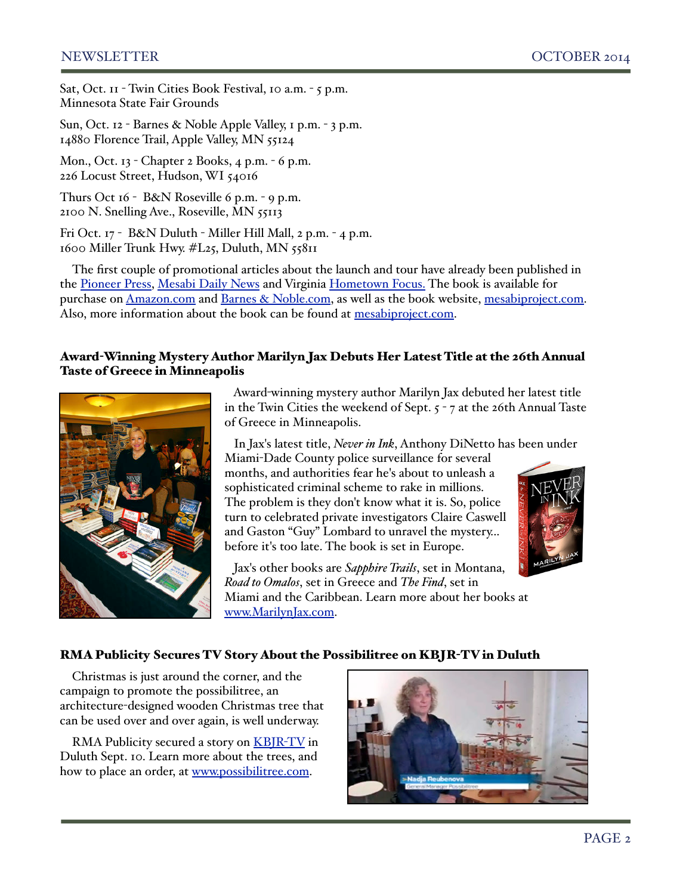Sat, Oct. 11 - Twin Cities Book Festival, 10 a.m. - 5 p.m. Minnesota State Fair Grounds

Sun, Oct. 12 - Barnes & Noble Apple Valley, 1 p.m. - 3 p.m. 14880 Florence Trail, Apple Valley, MN 55124

Mon., Oct. 13 - Chapter 2 Books, 4 p.m. - 6 p.m. 226 Locust Street, Hudson, WI 54016

Thurs Oct 16 - B&N Roseville 6 p.m. - 9 p.m. 2100 N. Snelling Ave., Roseville, MN 55113

Fri Oct. 17 - B&N Duluth - Miller Hill Mall, 2 p.m. - 4 p.m. 1600 Miller Trunk Hwy. #L25, Duluth, MN 55811

The first couple of promotional articles about the launch and tour have already been published in the [Pioneer Press,](http://www.twincities.com/entertainment/ci_26665175/fans-minnesota-authors-have-busy-week-ahead) [Mesabi Daily News](http://www.virginiamn.com/news/book-details-beginning-of-mining-in-region/article_f498d8d8-42d4-11e4-8255-67121185d282.html) and Virginia [Hometown Focus.](http://www.hometownfocus.us/news/2014-09-26/News_Briefs/Iron_Range_novel_Mesabi_Pioneers_to_be_launched_on.html) The book is available for purchase on [Amazon.com](http://www.amazon.com/Mesabi-Pioneers-Russell-Hill/dp/0990659100/ref=la_B00NE75KSS_1_1_title_1_pap?s=books&ie=UTF8&qid=1412561442&sr=1-1) and [Barnes & Noble.com,](http://www.barnesandnoble.com/w/mesabi-pioneers-russell-hill/1120193803?ean=9780990659105) as well as the book website, [mesabiproject.com.](http://mesabiproject.com/) Also, more information about the book can be found at [mesabiproject.com.](http://mesabiproject.com/)

#### Award-Winning Mystery Author Marilyn Jax Debuts Her Latest Title at the 26th Annual Taste of Greece in Minneapolis



 Award-winning mystery author Marilyn Jax debuted her latest title in the Twin Cities the weekend of Sept. 5 - 7 at the 26th Annual Taste of Greece in Minneapolis.

In Jax's latest title, *Never in Ink*, Anthony DiNetto has been under

Miami-Dade County police surveillance for several months, and authorities fear he's about to unleash a sophisticated criminal scheme to rake in millions. The problem is they don't know what it is. So, police turn to celebrated private investigators Claire Caswell and Gaston "Guy" Lombard to unravel the mystery... before it's too late. The book is set in Europe.

 Jax's other books are *Sapphire Trails*, set in Montana, *Road to Omalos*, set in Greece and *The Find*, set in Miami and the Caribbean. Learn more about her books at [www.MarilynJax.com.](http://www.marilynjax.com/)



#### RMA Publicity Secures TV Story About the Possibilitree on KBJR-TV in Duluth

Christmas is just around the corner, and the campaign to promote the possibilitree, an architecture-designed wooden Christmas tree that can be used over and over again, is well underway.

RMA Publicity secured a story on [KBJR](http://www.northlandsnewscenter.com/lifestyle/your-green-life/Your-Green-Life-The-Possibilitree-274618601.html)-TV in Duluth Sept. 10. Learn more about the trees, and how to place an order, at [www.possibilitree.com.](http://www.possibilitree.com)

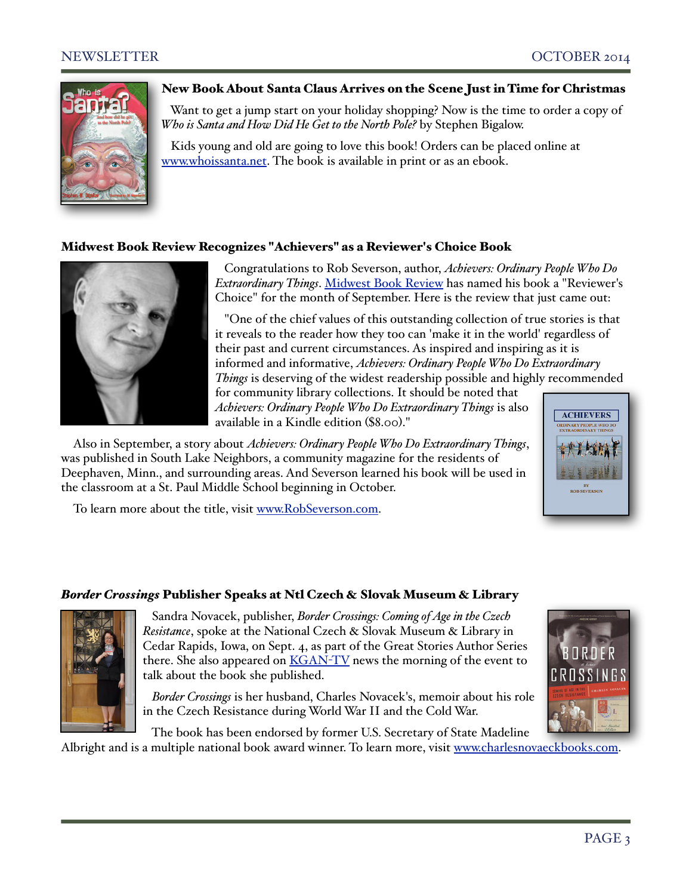

#### New Book About Santa Claus Arrives on the Scene Just in Time for Christmas

 Want to get a jump start on your holiday shopping? Now is the time to order a copy of *Who is Santa and How Did He Get to the North Pole?* by Stephen Bigalow.

 Kids young and old are going to love this book! Orders can be placed online at [www.whoissanta.net.](http://www.whoissanta.net/) The book is available in print or as an ebook.

#### Midwest Book Review Recognizes "Achievers" as a Reviewer's Choice Book



 Congratulations to Rob Severson, author, *Achievers: Ordinary People Who Do Extraordinary Things*. [Midwest Book Review](http://www.midwestbookreview.com/sbw/sep_14.htm) has named his book a "Reviewer's Choice" for the month of September. Here is the review that just came out:

 "One of the chief values of this outstanding collection of true stories is that it reveals to the reader how they too can 'make it in the world' regardless of their past and current circumstances. As inspired and inspiring as it is informed and informative, *Achievers: Ordinary People Who Do Extraordinary Things* is deserving of the widest readership possible and highly recommended

for community library collections. It should be noted that *Achievers: Ordinary People Who Do Extraordinary Things* is also available in a Kindle edition (\$8.00)."

Also in September, a story about *Achievers: Ordinary People Who Do Extraordinary Things*, was published in South Lake Neighbors, a community magazine for the residents of Deephaven, Minn., and surrounding areas. And Severson learned his book will be used in the classroom at a St. Paul Middle School beginning in October.

To learn more about the title, visit [www.RobSeverson.com.](http://www.robseverson.com/)



## *Border Crossings* Publisher Speaks at Ntl Czech & Slovak Museum & Library



 Sandra Novacek, publisher, *Border Crossings: Coming of Age in the Czech Resistance*, spoke at the National Czech & Slovak Museum & Library in Cedar Rapids, Iowa, on Sept. 4, as part of the Great Stories Author Series there. She also appeared on **KGAN-TV** news the morning of the event to talk about the book she published.

 *Border Crossings* is her husband, Charles Novacek's, memoir about his role in the Czech Resistance during World War II and the Cold War.

 The book has been endorsed by former U.S. Secretary of State Madeline Albright and is a multiple national book award winner. To learn more, visit [www.charlesnovaeckbooks.com.](http://www.charlesnovaeckbooks.com/)

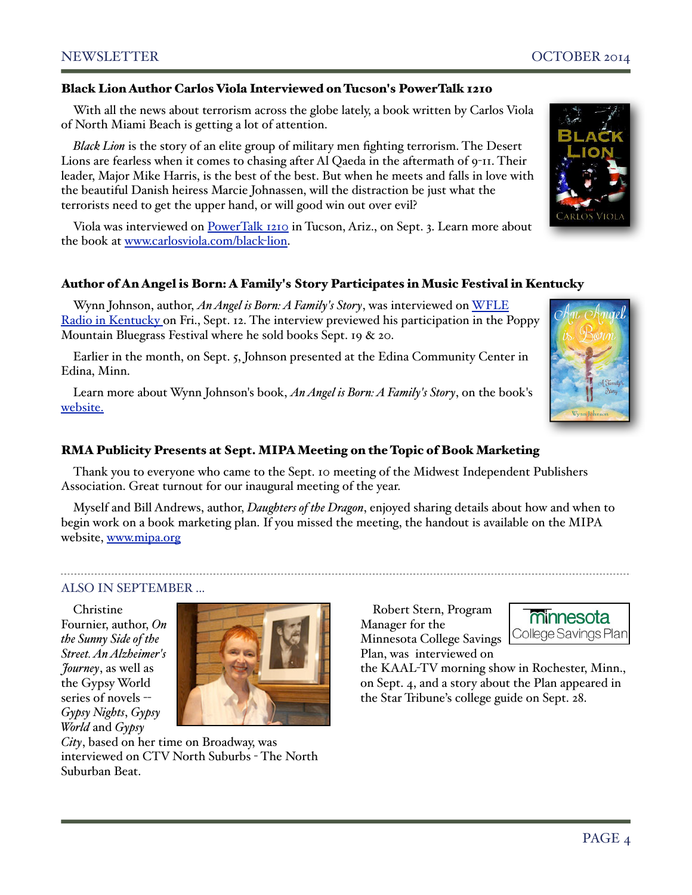#### Black Lion Author Carlos Viola Interviewed on Tucson's PowerTalk 1210

With all the news about terrorism across the globe lately, a book written by Carlos Viola of North Miami Beach is getting a lot of attention.

*Black Lion* is the story of an elite group of military men fighting terrorism. The Desert Lions are fearless when it comes to chasing after Al Qaeda in the aftermath of 9-11. Their leader, Major Mike Harris, is the best of the best. But when he meets and falls in love with the beautiful Danish heiress Marcie Johnassen, will the distraction be just what the terrorists need to get the upper hand, or will good win out over evil?

Viola was interviewed on [PowerTalk 1210](http://www.rmapublicity.com/images/stories/Audio/Black%20Lion%20-%20PowerTalk%201210%20Radio,%20Tucson%20-%20August%203,%202014.mp3) in Tucson, Ariz., on Sept. 3. Learn more about the book at [www.carlosviola.com/black](http://www.carlosviola.com/black-lion)-lion.

#### Author of An Angel is Born: A Family's Story Participates in Music Festival in Kentucky

Wynn Johnson, author, *An Angel is Born: A Family's Story*, was interviewed on [WFLE](http://www.rmapublicity.com/images/stories/Audio/An%20Angel%20is%20Born%20-%20WFLE%20Radio,%20Kentucky%20-%20September%2012,%202014.mp3)  [Radio in Kentucky o](http://www.rmapublicity.com/images/stories/Audio/An%20Angel%20is%20Born%20-%20WFLE%20Radio,%20Kentucky%20-%20September%2012,%202014.mp3)n Fri., Sept. 12. The interview previewed his participation in the Poppy Mountain Bluegrass Festival where he sold books Sept. 19 & 20.

Earlier in the month, on Sept. 5, Johnson presented at the Edina Community Center in Edina, Minn.

Learn more about Wynn Johnson's book, *An Angel is Born: A Family's Story*, on the book's [website.](http://www.anangelisborn.com/)

#### RMA Publicity Presents at Sept. MIPA Meeting on the Topic of Book Marketing

Thank you to everyone who came to the Sept. 10 meeting of the Midwest Independent Publishers Association. Great turnout for our inaugural meeting of the year.

Myself and Bill Andrews, author, *Daughters of the Dragon*, enjoyed sharing details about how and when to begin work on a book marketing plan. If you missed the meeting, the handout is available on the MIPA website, [www.mipa.org](http://www.mipa.org/events/meeting-notes/276-publishing-begins-with-a-good-marketing-plan)

#### ALSO IN SEPTEMBER ...

Christine Fournier, author, *On the Sunny Side of the Street. An Alzheimer's Journey*, as well as the Gypsy World series of novels -- *Gypsy Nights*, *Gypsy World* and *Gypsy* 



*City*, based on her time on Broadway, was interviewed on CTV North Suburbs - The North Suburban Beat.

Robert Stern, Program Manager for the Minnesota College Savings Plan, was interviewed on



the KAAL-TV morning show in Rochester, Minn., on Sept. 4, and a story about the Plan appeared in the Star Tribune's college guide on Sept. 28.